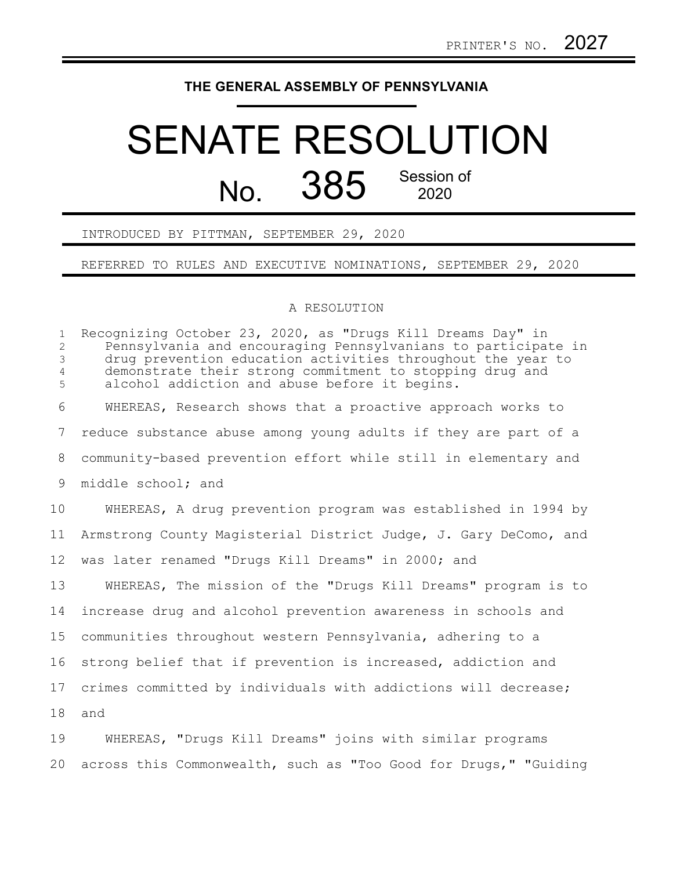## **THE GENERAL ASSEMBLY OF PENNSYLVANIA**

## SENATE RESOLUTION  $N<sub>0</sub>$  385 Session of 2020

INTRODUCED BY PITTMAN, SEPTEMBER 29, 2020

REFERRED TO RULES AND EXECUTIVE NOMINATIONS, SEPTEMBER 29, 2020

## A RESOLUTION

Recognizing October 23, 2020, as "Drugs Kill Dreams Day" in Pennsylvania and encouraging Pennsylvanians to participate in drug prevention education activities throughout the year to demonstrate their strong commitment to stopping drug and alcohol addiction and abuse before it begins. WHEREAS, Research shows that a proactive approach works to reduce substance abuse among young adults if they are part of a community-based prevention effort while still in elementary and middle school; and WHEREAS, A drug prevention program was established in 1994 by Armstrong County Magisterial District Judge, J. Gary DeComo, and was later renamed "Drugs Kill Dreams" in 2000; and WHEREAS, The mission of the "Drugs Kill Dreams" program is to increase drug and alcohol prevention awareness in schools and communities throughout western Pennsylvania, adhering to a strong belief that if prevention is increased, addiction and crimes committed by individuals with addictions will decrease; and WHEREAS, "Drugs Kill Dreams" joins with similar programs 1 2 3 4 5 6 7 8 9 10 11 12 13 14 15 16 17 18 19

across this Commonwealth, such as "Too Good for Drugs," "Guiding 20